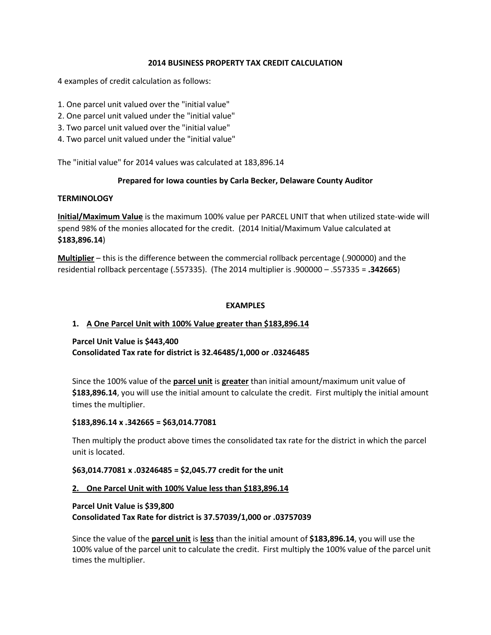## **2014 BUSINESS PROPERTY TAX CREDIT CALCULATION**

4 examples of credit calculation as follows:

- 1. One parcel unit valued over the "initial value"
- 2. One parcel unit valued under the "initial value"
- 3. Two parcel unit valued over the "initial value"
- 4. Two parcel unit valued under the "initial value"

The "initial value" for 2014 values was calculated at 183,896.14

## **Prepared for Iowa counties by Carla Becker, Delaware County Auditor**

#### **TERMINOLOGY**

**Initial/Maximum Value** is the maximum 100% value per PARCEL UNIT that when utilized state-wide will spend 98% of the monies allocated for the credit. (2014 Initial/Maximum Value calculated at **\$183,896.14**)

**Multiplier** – this is the difference between the commercial rollback percentage (.900000) and the residential rollback percentage (.557335). (The 2014 multiplier is .900000 – .557335 = **.342665**)

#### **EXAMPLES**

## **1. A One Parcel Unit with 100% Value greater than \$183,896.14**

## **Parcel Unit Value is \$443,400**

**Consolidated Tax rate for district is 32.46485/1,000 or .03246485**

Since the 100% value of the **parcel unit** is **greater** than initial amount/maximum unit value of **\$183,896.14**, you will use the initial amount to calculate the credit. First multiply the initial amount times the multiplier.

#### **\$183,896.14 x .342665 = \$63,014.77081**

Then multiply the product above times the consolidated tax rate for the district in which the parcel unit is located.

## **\$63,014.77081 x .03246485 = \$2,045.77 credit for the unit**

#### **2. One Parcel Unit with 100% Value less than \$183,896.14**

# **Parcel Unit Value is \$39,800 Consolidated Tax Rate for district is 37.57039/1,000 or .03757039**

Since the value of the **parcel unit** is **less** than the initial amount of **\$183,896.14**, you will use the 100% value of the parcel unit to calculate the credit. First multiply the 100% value of the parcel unit times the multiplier.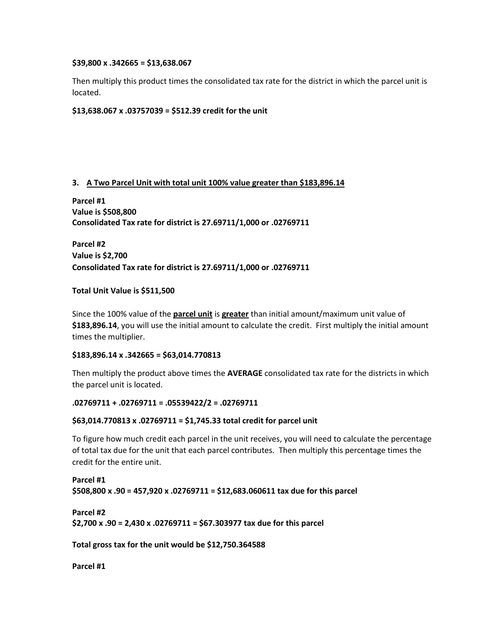#### **\$39,800 x .342665 = \$13,638.067**

Then multiply this product times the consolidated tax rate for the district in which the parcel unit is located.

## **\$13,638.067 x .03757039 = \$512.39 credit for the unit**

# **3. A Two Parcel Unit with total unit 100% value greater than \$183,896.14**

**Parcel #1 Value is \$508,800 Consolidated Tax rate for district is 27.69711/1,000 or .02769711**

**Parcel #2 Value is \$2,700 Consolidated Tax rate for district is 27.69711/1,000 or .02769711**

## **Total Unit Value is \$511,500**

Since the 100% value of the **parcel unit** is **greater** than initial amount/maximum unit value of **\$183,896.14**, you will use the initial amount to calculate the credit. First multiply the initial amount times the multiplier.

## **\$183,896.14 x .342665 = \$63,014.770813**

Then multiply the product above times the **AVERAGE** consolidated tax rate for the districts in which the parcel unit is located.

## **.02769711 + .02769711 = .05539422/2 = .02769711**

## **\$63,014.770813 x .02769711 = \$1,745.33 total credit for parcel unit**

To figure how much credit each parcel in the unit receives, you will need to calculate the percentage of total tax due for the unit that each parcel contributes. Then multiply this percentage times the credit for the entire unit.

# **Parcel #1 \$508,800 x .90 = 457,920 x .02769711 = \$12,683.060611 tax due for this parcel**

```
Parcel #2
$2,700 x .90 = 2,430 x .02769711 = $67.303977 tax due for this parcel
```
**Total gross tax for the unit would be \$12,750.364588**

**Parcel #1**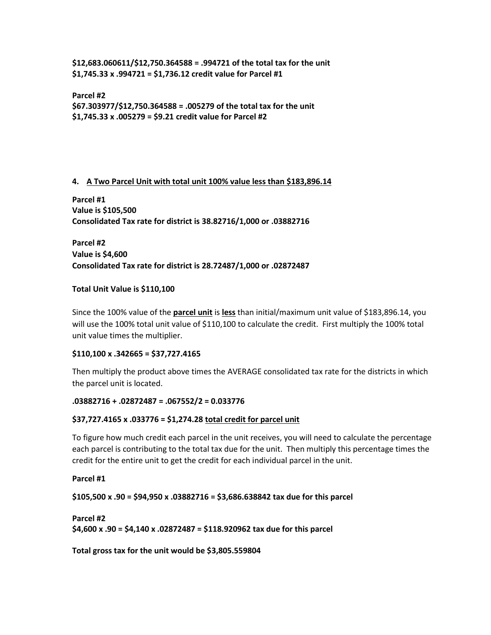**\$12,683.060611/\$12,750.364588 = .994721 of the total tax for the unit \$1,745.33 x .994721 = \$1,736.12 credit value for Parcel #1**

**Parcel #2 \$67.303977/\$12,750.364588 = .005279 of the total tax for the unit \$1,745.33 x .005279 = \$9.21 credit value for Parcel #2**

# **4. A Two Parcel Unit with total unit 100% value less than \$183,896.14**

**Parcel #1 Value is \$105,500 Consolidated Tax rate for district is 38.82716/1,000 or .03882716**

**Parcel #2 Value is \$4,600 Consolidated Tax rate for district is 28.72487/1,000 or .02872487**

# **Total Unit Value is \$110,100**

Since the 100% value of the **parcel unit** is **less** than initial/maximum unit value of \$183,896.14, you will use the 100% total unit value of \$110,100 to calculate the credit. First multiply the 100% total unit value times the multiplier.

## **\$110,100 x .342665 = \$37,727.4165**

Then multiply the product above times the AVERAGE consolidated tax rate for the districts in which the parcel unit is located.

## **.03882716 + .02872487 = .067552/2 = 0.033776**

## **\$37,727.4165 x .033776 = \$1,274.28 total credit for parcel unit**

To figure how much credit each parcel in the unit receives, you will need to calculate the percentage each parcel is contributing to the total tax due for the unit. Then multiply this percentage times the credit for the entire unit to get the credit for each individual parcel in the unit.

**Parcel #1**

**\$105,500 x .90 = \$94,950 x .03882716 = \$3,686.638842 tax due for this parcel**

```
Parcel #2
$4,600 x .90 = $4,140 x .02872487 = $118.920962 tax due for this parcel
```
**Total gross tax for the unit would be \$3,805.559804**